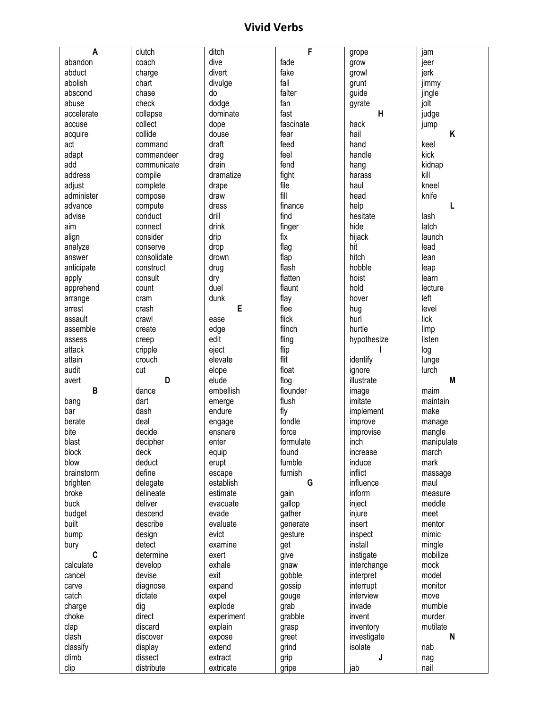## **Vivid Verbs**

| $\overline{A}$ | clutch                | ditch                | F             | grope        | jam         |
|----------------|-----------------------|----------------------|---------------|--------------|-------------|
| abandon        | coach                 | dive                 | fade          | grow         | jeer        |
| abduct         | charge                | divert               | fake          | growl        | jerk        |
| abolish        | chart                 | divulge              | fall          | grunt        | jimmy       |
| abscond        | chase                 | do                   | falter        | guide        | jingle      |
| abuse          | check                 | dodge                | fan           | gyrate       | jolt        |
| accelerate     | collapse              | dominate             | fast          | $\mathsf{H}$ | judge       |
| accuse         | collect               | dope                 | fascinate     | hack         | jump        |
| acquire        | collide               | douse                | fear          | hail         | K           |
| act            | command               | draft                | feed          | hand         | keel        |
| adapt          | commandeer            | drag                 | feel          | handle       | kick        |
| add            | communicate           | drain                | fend          | hang         | kidnap      |
| address        | compile               | dramatize            | fight         | harass       | kill        |
| adjust         | complete              | drape                | file          | haul         | kneel       |
| administer     | compose               | draw                 | fill          | head         | knife       |
| advance        |                       | dress                | finance       | help         | L           |
| advise         | compute<br>conduct    | drill                | find          | hesitate     | lash        |
|                |                       | drink                |               | hide         |             |
| aim            | connect               |                      | finger        |              | latch       |
| align          | consider              | drip                 | fix           | hijack       | launch      |
| analyze        | conserve              | drop                 | flag          | hit          | lead        |
| answer         | consolidate           | drown                | flap          | hitch        | lean        |
| anticipate     | construct             | drug                 | flash         | hobble       | leap        |
| apply          | consult               | dry                  | flatten       | hoist        | learn       |
| apprehend      | count                 | duel                 | flaunt        | hold         | lecture     |
| arrange        | cram                  | dunk                 | flay          | hover        | left        |
| arrest         | crash                 | E                    | flee          | hug          | level       |
| assault        | crawl                 | ease                 | flick         | hurl         | lick        |
| assemble       | create                | edge                 | flinch        | hurtle       | limp        |
| assess         | creep                 | edit                 | fling         | hypothesize  | listen      |
| attack         | cripple               | eject                | flip          |              | log         |
| attain         | crouch                | elevate              | flit          | identify     | lunge       |
| audit          | cut                   | elope                | float         | ignore       | lurch       |
| avert          | D                     | elude                | flog          | illustrate   | M           |
| B              | dance                 | embellish            | flounder      | image        | maim        |
| bang           | dart                  | emerge               | flush         | imitate      | maintain    |
| bar            | dash                  | endure               | fly           | implement    | make        |
| berate         | deal                  | engage               | fondle        | improve      | manage      |
| bite           | decide                | ensnare              | force         | improvise    | mangle      |
| blast          | decipher              | enter                | formulate     | inch         | manipulate  |
| block          | deck                  | equip                | found         | increase     | march       |
| blow           | deduct                | erupt                | fumble        | induce       | mark        |
| brainstorm     | define                | escape               | furnish       | inflict      | massage     |
| brighten       | delegate              | establish            | G             | influence    | maul        |
| broke          | delineate             | estimate             | gain          | inform       | measure     |
| buck           | deliver               | evacuate             | gallop        | inject       | meddle      |
| budget         | descend               | evade                | gather        | injure       | meet        |
| built          | describe              | evaluate             | generate      | insert       | mentor      |
| bump           | design                | evict                | gesture       | inspect      | mimic       |
| bury           | detect                | examine              | get           | install      | mingle      |
| C              | determine             | exert                | give          | instigate    | mobilize    |
| calculate      | develop               | exhale               | gnaw          | interchange  | mock        |
| cancel         | devise                | exit                 | gobble        | interpret    | model       |
| carve          | diagnose              | expand               | gossip        | interrupt    | monitor     |
| catch          | dictate               | expel                | gouge         | interview    | move        |
| charge         | dig                   | explode              | grab          | invade       | mumble      |
| choke          |                       | experiment           | grabble       | invent       | murder      |
| clap           |                       |                      |               |              |             |
|                | direct                |                      |               |              |             |
|                | discard               | explain              | grasp         | inventory    | mutilate    |
| clash          | discover              | expose               | greet         | investigate  | N           |
| classify       | display               | extend               | grind         | isolate      | nab         |
| climb<br>clip  | dissect<br>distribute | extract<br>extricate | grip<br>gripe | J<br>jab     | nag<br>nail |